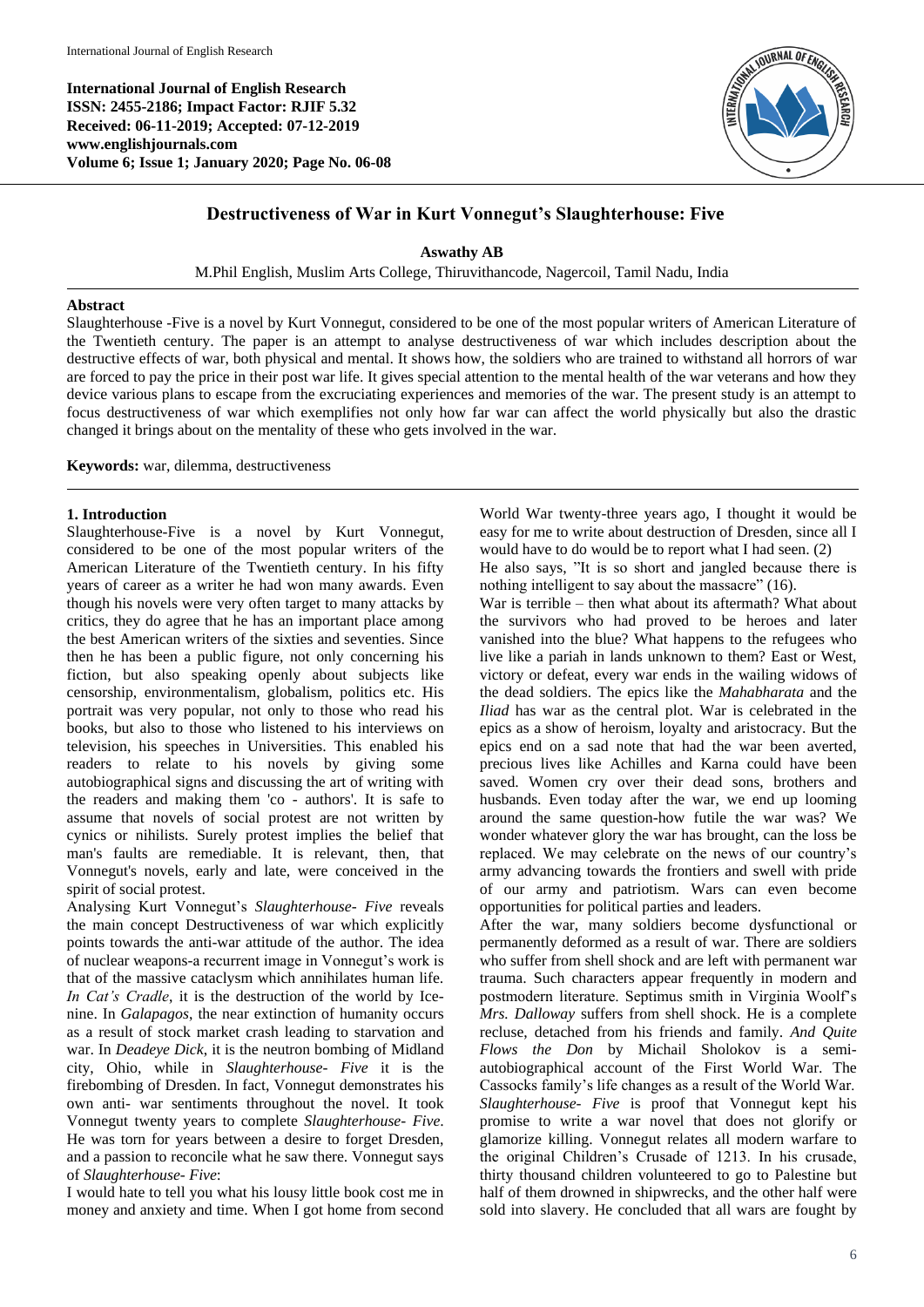**International Journal of English Research ISSN: 2455-2186; Impact Factor: RJIF 5.32 Received: 06-11-2019; Accepted: 07-12-2019 www.englishjournals.com Volume 6; Issue 1; January 2020; Page No. 06-08**



## **Destructiveness of War in Kurt Vonnegut's Slaughterhouse: Five**

**Aswathy AB**

M.Phil English, Muslim Arts College, Thiruvithancode, Nagercoil, Tamil Nadu, India

## **Abstract**

Slaughterhouse -Five is a novel by Kurt Vonnegut, considered to be one of the most popular writers of American Literature of the Twentieth century. The paper is an attempt to analyse destructiveness of war which includes description about the destructive effects of war, both physical and mental. It shows how, the soldiers who are trained to withstand all horrors of war are forced to pay the price in their post war life. It gives special attention to the mental health of the war veterans and how they device various plans to escape from the excruciating experiences and memories of the war. The present study is an attempt to focus destructiveness of war which exemplifies not only how far war can affect the world physically but also the drastic changed it brings about on the mentality of these who gets involved in the war.

**Keywords:** war, dilemma, destructiveness

## **1. Introduction**

Slaughterhouse-Five is a novel by Kurt Vonnegut, considered to be one of the most popular writers of the American Literature of the Twentieth century. In his fifty years of career as a writer he had won many awards. Even though his novels were very often target to many attacks by critics, they do agree that he has an important place among the best American writers of the sixties and seventies. Since then he has been a public figure, not only concerning his fiction, but also speaking openly about subjects like censorship, environmentalism, globalism, politics etc. His portrait was very popular, not only to those who read his books, but also to those who listened to his interviews on television, his speeches in Universities. This enabled his readers to relate to his novels by giving some autobiographical signs and discussing the art of writing with the readers and making them 'co - authors'. It is safe to assume that novels of social protest are not written by cynics or nihilists. Surely protest implies the belief that man's faults are remediable. It is relevant, then, that Vonnegut's novels, early and late, were conceived in the spirit of social protest.

Analysing Kurt Vonnegut's *Slaughterhouse- Five* reveals the main concept Destructiveness of war which explicitly points towards the anti-war attitude of the author. The idea of nuclear weapons-a recurrent image in Vonnegut's work is that of the massive cataclysm which annihilates human life. *In Cat's Cradle*, it is the destruction of the world by Icenine. In *Galapagos*, the near extinction of humanity occurs as a result of stock market crash leading to starvation and war. In *Deadeye Dick*, it is the neutron bombing of Midland city, Ohio, while in *Slaughterhouse- Five* it is the firebombing of Dresden. In fact, Vonnegut demonstrates his own anti- war sentiments throughout the novel. It took Vonnegut twenty years to complete *Slaughterhouse- Five*. He was torn for years between a desire to forget Dresden, and a passion to reconcile what he saw there. Vonnegut says of *Slaughterhouse- Five*:

I would hate to tell you what his lousy little book cost me in money and anxiety and time. When I got home from second

World War twenty-three years ago, I thought it would be easy for me to write about destruction of Dresden, since all I would have to do would be to report what I had seen. (2) He also says, "It is so short and jangled because there is nothing intelligent to say about the massacre" (16).

War is terrible – then what about its aftermath? What about the survivors who had proved to be heroes and later vanished into the blue? What happens to the refugees who live like a pariah in lands unknown to them? East or West, victory or defeat, every war ends in the wailing widows of the dead soldiers. The epics like the *Mahabharata* and the *Iliad* has war as the central plot. War is celebrated in the epics as a show of heroism, loyalty and aristocracy. But the epics end on a sad note that had the war been averted, precious lives like Achilles and Karna could have been saved. Women cry over their dead sons, brothers and husbands. Even today after the war, we end up looming around the same question-how futile the war was? We wonder whatever glory the war has brought, can the loss be replaced. We may celebrate on the news of our country's army advancing towards the frontiers and swell with pride of our army and patriotism. Wars can even become opportunities for political parties and leaders.

After the war, many soldiers become dysfunctional or permanently deformed as a result of war. There are soldiers who suffer from shell shock and are left with permanent war trauma. Such characters appear frequently in modern and postmodern literature. Septimus smith in Virginia Woolf's *Mrs. Dalloway* suffers from shell shock. He is a complete recluse, detached from his friends and family. *And Quite Flows the Don* by Michail Sholokov is a semiautobiographical account of the First World War. The Cassocks family's life changes as a result of the World War. *Slaughterhouse- Five* is proof that Vonnegut kept his promise to write a war novel that does not glorify or glamorize killing. Vonnegut relates all modern warfare to the original Children's Crusade of 1213. In his crusade, thirty thousand children volunteered to go to Palestine but half of them drowned in shipwrecks, and the other half were sold into slavery. He concluded that all wars are fought by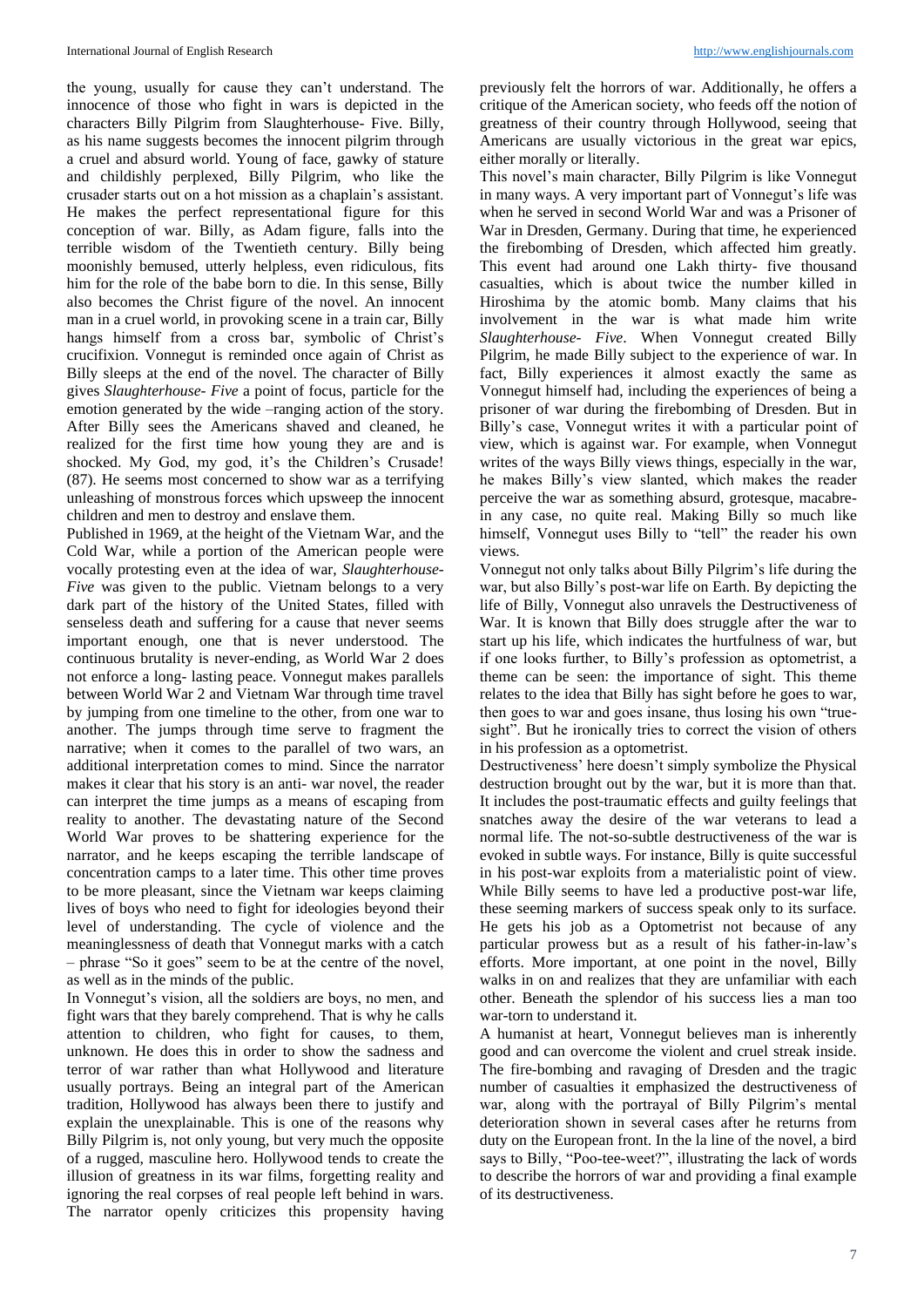the young, usually for cause they can't understand. The innocence of those who fight in wars is depicted in the characters Billy Pilgrim from Slaughterhouse- Five. Billy, as his name suggests becomes the innocent pilgrim through a cruel and absurd world. Young of face, gawky of stature and childishly perplexed, Billy Pilgrim, who like the crusader starts out on a hot mission as a chaplain's assistant. He makes the perfect representational figure for this conception of war. Billy, as Adam figure, falls into the terrible wisdom of the Twentieth century. Billy being moonishly bemused, utterly helpless, even ridiculous, fits him for the role of the babe born to die. In this sense, Billy also becomes the Christ figure of the novel. An innocent man in a cruel world, in provoking scene in a train car, Billy hangs himself from a cross bar, symbolic of Christ's crucifixion. Vonnegut is reminded once again of Christ as Billy sleeps at the end of the novel. The character of Billy gives *Slaughterhouse- Five* a point of focus, particle for the emotion generated by the wide –ranging action of the story. After Billy sees the Americans shaved and cleaned, he realized for the first time how young they are and is shocked. My God, my god, it's the Children's Crusade! (87). He seems most concerned to show war as a terrifying unleashing of monstrous forces which upsweep the innocent children and men to destroy and enslave them.

Published in 1969, at the height of the Vietnam War, and the Cold War, while a portion of the American people were vocally protesting even at the idea of war, *Slaughterhouse-Five* was given to the public. Vietnam belongs to a very dark part of the history of the United States, filled with senseless death and suffering for a cause that never seems important enough, one that is never understood. The continuous brutality is never-ending, as World War 2 does not enforce a long- lasting peace. Vonnegut makes parallels between World War 2 and Vietnam War through time travel by jumping from one timeline to the other, from one war to another. The jumps through time serve to fragment the narrative; when it comes to the parallel of two wars, an additional interpretation comes to mind. Since the narrator makes it clear that his story is an anti- war novel, the reader can interpret the time jumps as a means of escaping from reality to another. The devastating nature of the Second World War proves to be shattering experience for the narrator, and he keeps escaping the terrible landscape of concentration camps to a later time. This other time proves to be more pleasant, since the Vietnam war keeps claiming lives of boys who need to fight for ideologies beyond their level of understanding. The cycle of violence and the meaninglessness of death that Vonnegut marks with a catch – phrase "So it goes" seem to be at the centre of the novel, as well as in the minds of the public.

In Vonnegut's vision, all the soldiers are boys, no men, and fight wars that they barely comprehend. That is why he calls attention to children, who fight for causes, to them, unknown. He does this in order to show the sadness and terror of war rather than what Hollywood and literature usually portrays. Being an integral part of the American tradition, Hollywood has always been there to justify and explain the unexplainable. This is one of the reasons why Billy Pilgrim is, not only young, but very much the opposite of a rugged, masculine hero. Hollywood tends to create the illusion of greatness in its war films, forgetting reality and ignoring the real corpses of real people left behind in wars. The narrator openly criticizes this propensity having

previously felt the horrors of war. Additionally, he offers a critique of the American society, who feeds off the notion of greatness of their country through Hollywood, seeing that Americans are usually victorious in the great war epics, either morally or literally.

This novel's main character, Billy Pilgrim is like Vonnegut in many ways. A very important part of Vonnegut's life was when he served in second World War and was a Prisoner of War in Dresden, Germany. During that time, he experienced the firebombing of Dresden, which affected him greatly. This event had around one Lakh thirty- five thousand casualties, which is about twice the number killed in Hiroshima by the atomic bomb. Many claims that his involvement in the war is what made him write *Slaughterhouse- Five*. When Vonnegut created Billy Pilgrim, he made Billy subject to the experience of war. In fact, Billy experiences it almost exactly the same as Vonnegut himself had, including the experiences of being a prisoner of war during the firebombing of Dresden. But in Billy's case, Vonnegut writes it with a particular point of view, which is against war. For example, when Vonnegut writes of the ways Billy views things, especially in the war, he makes Billy's view slanted, which makes the reader perceive the war as something absurd, grotesque, macabrein any case, no quite real. Making Billy so much like himself, Vonnegut uses Billy to "tell" the reader his own views.

Vonnegut not only talks about Billy Pilgrim's life during the war, but also Billy's post-war life on Earth. By depicting the life of Billy, Vonnegut also unravels the Destructiveness of War. It is known that Billy does struggle after the war to start up his life, which indicates the hurtfulness of war, but if one looks further, to Billy's profession as optometrist, a theme can be seen: the importance of sight. This theme relates to the idea that Billy has sight before he goes to war, then goes to war and goes insane, thus losing his own "truesight". But he ironically tries to correct the vision of others in his profession as a optometrist.

Destructiveness' here doesn't simply symbolize the Physical destruction brought out by the war, but it is more than that. It includes the post-traumatic effects and guilty feelings that snatches away the desire of the war veterans to lead a normal life. The not-so-subtle destructiveness of the war is evoked in subtle ways. For instance, Billy is quite successful in his post-war exploits from a materialistic point of view. While Billy seems to have led a productive post-war life, these seeming markers of success speak only to its surface. He gets his job as a Optometrist not because of any particular prowess but as a result of his father-in-law's efforts. More important, at one point in the novel, Billy walks in on and realizes that they are unfamiliar with each other. Beneath the splendor of his success lies a man too war-torn to understand it.

A humanist at heart, Vonnegut believes man is inherently good and can overcome the violent and cruel streak inside. The fire-bombing and ravaging of Dresden and the tragic number of casualties it emphasized the destructiveness of war, along with the portrayal of Billy Pilgrim's mental deterioration shown in several cases after he returns from duty on the European front. In the la line of the novel, a bird says to Billy, "Poo-tee-weet?", illustrating the lack of words to describe the horrors of war and providing a final example of its destructiveness.